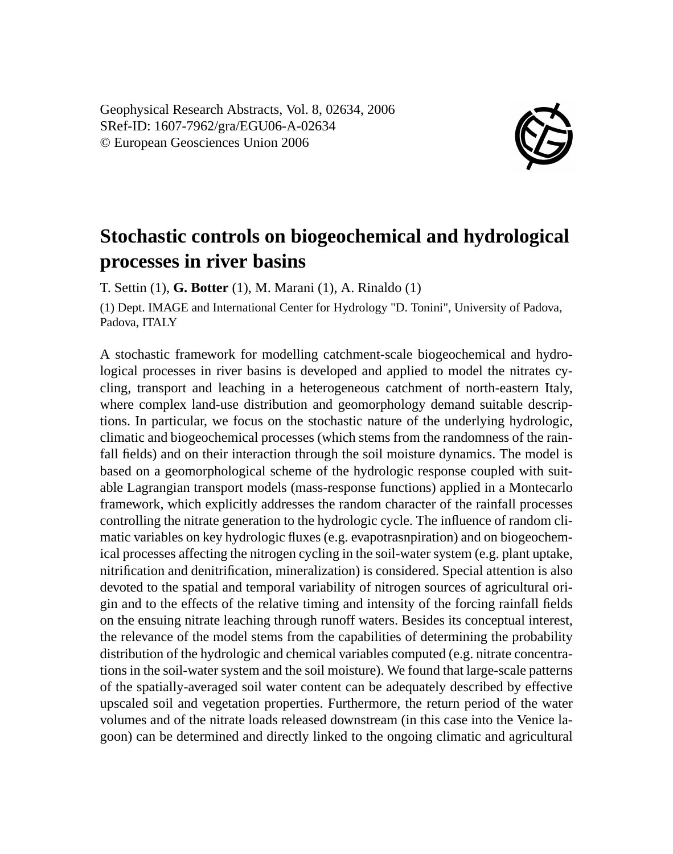Geophysical Research Abstracts, Vol. 8, 02634, 2006 SRef-ID: 1607-7962/gra/EGU06-A-02634 © European Geosciences Union 2006



## **Stochastic controls on biogeochemical and hydrological processes in river basins**

T. Settin (1), **G. Botter** (1), M. Marani (1), A. Rinaldo (1)

(1) Dept. IMAGE and International Center for Hydrology "D. Tonini", University of Padova, Padova, ITALY

A stochastic framework for modelling catchment-scale biogeochemical and hydrological processes in river basins is developed and applied to model the nitrates cycling, transport and leaching in a heterogeneous catchment of north-eastern Italy, where complex land-use distribution and geomorphology demand suitable descriptions. In particular, we focus on the stochastic nature of the underlying hydrologic, climatic and biogeochemical processes (which stems from the randomness of the rainfall fields) and on their interaction through the soil moisture dynamics. The model is based on a geomorphological scheme of the hydrologic response coupled with suitable Lagrangian transport models (mass-response functions) applied in a Montecarlo framework, which explicitly addresses the random character of the rainfall processes controlling the nitrate generation to the hydrologic cycle. The influence of random climatic variables on key hydrologic fluxes (e.g. evapotrasnpiration) and on biogeochemical processes affecting the nitrogen cycling in the soil-water system (e.g. plant uptake, nitrification and denitrification, mineralization) is considered. Special attention is also devoted to the spatial and temporal variability of nitrogen sources of agricultural origin and to the effects of the relative timing and intensity of the forcing rainfall fields on the ensuing nitrate leaching through runoff waters. Besides its conceptual interest, the relevance of the model stems from the capabilities of determining the probability distribution of the hydrologic and chemical variables computed (e.g. nitrate concentrations in the soil-water system and the soil moisture). We found that large-scale patterns of the spatially-averaged soil water content can be adequately described by effective upscaled soil and vegetation properties. Furthermore, the return period of the water volumes and of the nitrate loads released downstream (in this case into the Venice lagoon) can be determined and directly linked to the ongoing climatic and agricultural